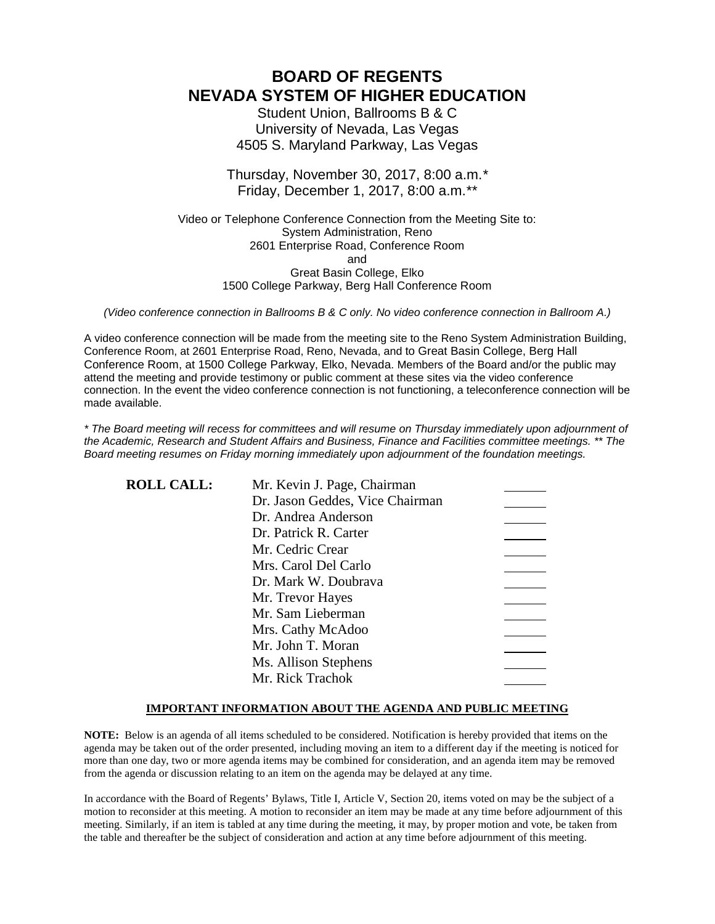# **BOARD OF REGENTS NEVADA SYSTEM OF HIGHER EDUCATION**

Student Union, Ballrooms B & C University of Nevada, Las Vegas 4505 S. Maryland Parkway, Las Vegas

Thursday, November 30, 2017, 8:00 a.m.*\** Friday, December 1, 2017, 8:00 a.m.*\*\**

Video or Telephone Conference Connection from the Meeting Site to: System Administration, Reno 2601 Enterprise Road, Conference Room and Great Basin College, Elko 1500 College Parkway, Berg Hall Conference Room

*(Video conference connection in Ballrooms B & C only. No video conference connection in Ballroom A.)*

A video conference connection will be made from the meeting site to the Reno System Administration Building, Conference Room, at 2601 Enterprise Road, Reno, Nevada, and to Great Basin College, Berg Hall Conference Room, at 1500 College Parkway, Elko, Nevada. Members of the Board and/or the public may attend the meeting and provide testimony or public comment at these sites via the video conference connection. In the event the video conference connection is not functioning, a teleconference connection will be made available.

*\* The Board meeting will recess for committees and will resume on Thursday immediately upon adjournment of the Academic, Research and Student Affairs and Business, Finance and Facilities committee meetings. \*\* The Board meeting resumes on Friday morning immediately upon adjournment of the foundation meetings.*

| <b>ROLL CALL:</b> | Mr. Kevin J. Page, Chairman     |  |
|-------------------|---------------------------------|--|
|                   | Dr. Jason Geddes, Vice Chairman |  |
|                   | Dr. Andrea Anderson             |  |
|                   | Dr. Patrick R. Carter           |  |
|                   | Mr. Cedric Crear                |  |
|                   | Mrs. Carol Del Carlo            |  |
|                   | Dr. Mark W. Doubrava            |  |
|                   | Mr. Trevor Hayes                |  |
|                   | Mr. Sam Lieberman               |  |
|                   | Mrs. Cathy McAdoo               |  |
|                   | Mr. John T. Moran               |  |
|                   | Ms. Allison Stephens            |  |
|                   | Mr. Rick Trachok                |  |

#### **IMPORTANT INFORMATION ABOUT THE AGENDA AND PUBLIC MEETING**

**NOTE:** Below is an agenda of all items scheduled to be considered. Notification is hereby provided that items on the agenda may be taken out of the order presented, including moving an item to a different day if the meeting is noticed for more than one day, two or more agenda items may be combined for consideration, and an agenda item may be removed from the agenda or discussion relating to an item on the agenda may be delayed at any time.

In accordance with the Board of Regents' Bylaws, Title I, Article V, Section 20, items voted on may be the subject of a motion to reconsider at this meeting. A motion to reconsider an item may be made at any time before adjournment of this meeting. Similarly, if an item is tabled at any time during the meeting, it may, by proper motion and vote, be taken from the table and thereafter be the subject of consideration and action at any time before adjournment of this meeting.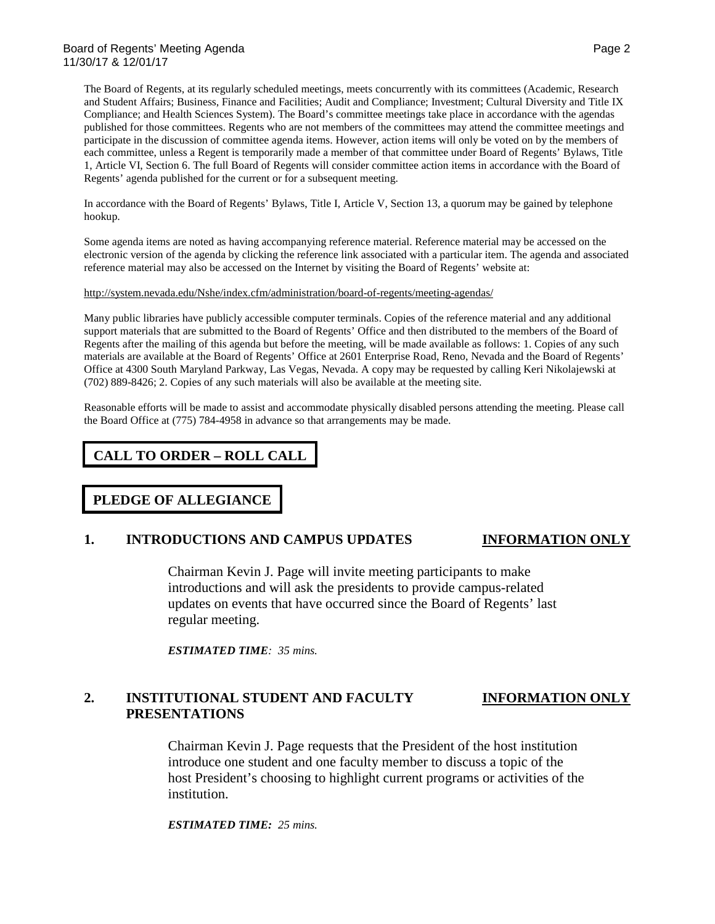The Board of Regents, at its regularly scheduled meetings, meets concurrently with its committees (Academic, Research and Student Affairs; Business, Finance and Facilities; Audit and Compliance; Investment; Cultural Diversity and Title IX Compliance; and Health Sciences System). The Board's committee meetings take place in accordance with the agendas published for those committees. Regents who are not members of the committees may attend the committee meetings and participate in the discussion of committee agenda items. However, action items will only be voted on by the members of each committee, unless a Regent is temporarily made a member of that committee under Board of Regents' Bylaws, Title 1, Article VI, Section 6. The full Board of Regents will consider committee action items in accordance with the Board of Regents' agenda published for the current or for a subsequent meeting.

In accordance with the Board of Regents' Bylaws, Title I, Article V, Section 13, a quorum may be gained by telephone hookup.

Some agenda items are noted as having accompanying reference material. Reference material may be accessed on the electronic version of the agenda by clicking the reference link associated with a particular item. The agenda and associated reference material may also be accessed on the Internet by visiting the Board of Regents' website at:

#### <http://system.nevada.edu/Nshe/index.cfm/administration/board-of-regents/meeting-agendas/>

Many public libraries have publicly accessible computer terminals. Copies of the reference material and any additional support materials that are submitted to the Board of Regents' Office and then distributed to the members of the Board of Regents after the mailing of this agenda but before the meeting, will be made available as follows: 1. Copies of any such materials are available at the Board of Regents' Office at 2601 Enterprise Road, Reno, Nevada and the Board of Regents' Office at 4300 South Maryland Parkway, Las Vegas, Nevada. A copy may be requested by calling Keri Nikolajewski at (702) 889-8426; 2. Copies of any such materials will also be available at the meeting site.

Reasonable efforts will be made to assist and accommodate physically disabled persons attending the meeting. Please call the Board Office at (775) 784-4958 in advance so that arrangements may be made.

#### **CALL TO ORDER – ROLL CALL**

### **PLEDGE OF ALLEGIANCE**

#### **1. INTRODUCTIONS AND CAMPUS UPDATES INFORMATION ONLY**

Chairman Kevin J. Page will invite meeting participants to make introductions and will ask the presidents to provide campus-related updates on events that have occurred since the Board of Regents' last regular meeting.

*ESTIMATED TIME: 35 mins.*

#### **2. INSTITUTIONAL STUDENT AND FACULTY INFORMATION ONLY PRESENTATIONS**

Chairman Kevin J. Page requests that the President of the host institution introduce one student and one faculty member to discuss a topic of the host President's choosing to highlight current programs or activities of the institution.

*ESTIMATED TIME: 25 mins.*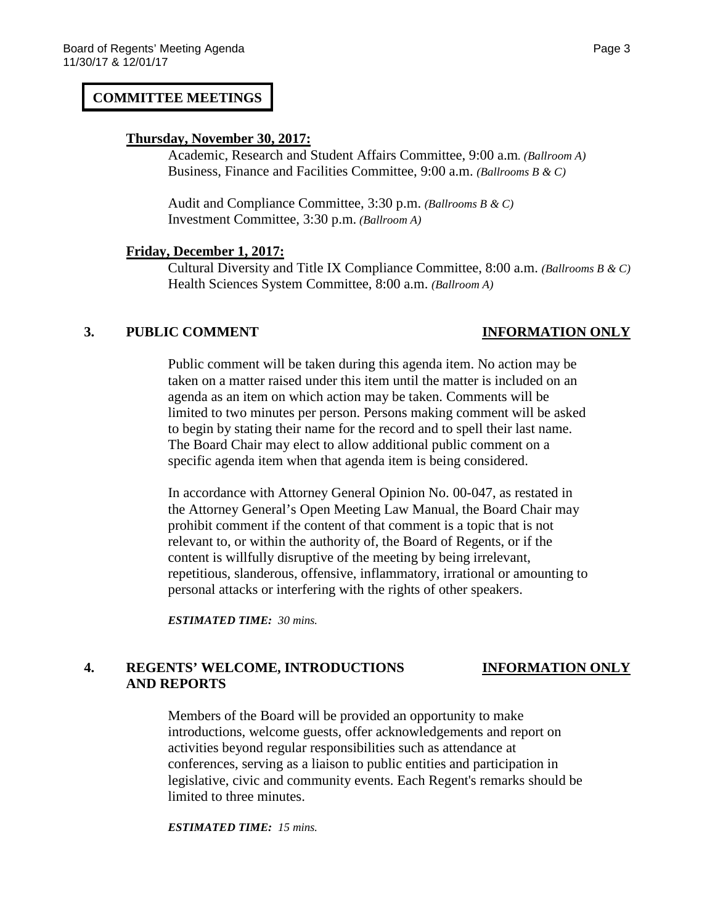### **COMMITTEE MEETINGS**

#### **Thursday, November 30, 2017:**

Academic, Research and Student Affairs Committee, 9:00 a.m*. (Ballroom A)* Business, Finance and Facilities Committee, 9:00 a.m. *(Ballrooms B & C)*

Audit and Compliance Committee, 3:30 p.m. *(Ballrooms B & C)* Investment Committee, 3:30 p.m. *(Ballroom A)*

### **Friday, December 1, 2017:**

Cultural Diversity and Title IX Compliance Committee, 8:00 a.m. *(Ballrooms B & C)* Health Sciences System Committee, 8:00 a.m. *(Ballroom A)*

### **3. PUBLIC COMMENT INFORMATION ONLY**

Public comment will be taken during this agenda item. No action may be taken on a matter raised under this item until the matter is included on an agenda as an item on which action may be taken. Comments will be limited to two minutes per person. Persons making comment will be asked to begin by stating their name for the record and to spell their last name. The Board Chair may elect to allow additional public comment on a specific agenda item when that agenda item is being considered.

In accordance with Attorney General Opinion No. 00-047, as restated in the Attorney General's Open Meeting Law Manual, the Board Chair may prohibit comment if the content of that comment is a topic that is not relevant to, or within the authority of, the Board of Regents, or if the content is willfully disruptive of the meeting by being irrelevant, repetitious, slanderous, offensive, inflammatory, irrational or amounting to personal attacks or interfering with the rights of other speakers.

*ESTIMATED TIME: 30 mins.*

## **4. REGENTS' WELCOME, INTRODUCTIONS INFORMATION ONLY AND REPORTS**

Members of the Board will be provided an opportunity to make introductions, welcome guests, offer acknowledgements and report on activities beyond regular responsibilities such as attendance at conferences, serving as a liaison to public entities and participation in legislative, civic and community events. Each Regent's remarks should be limited to three minutes.

*ESTIMATED TIME: 15 mins.*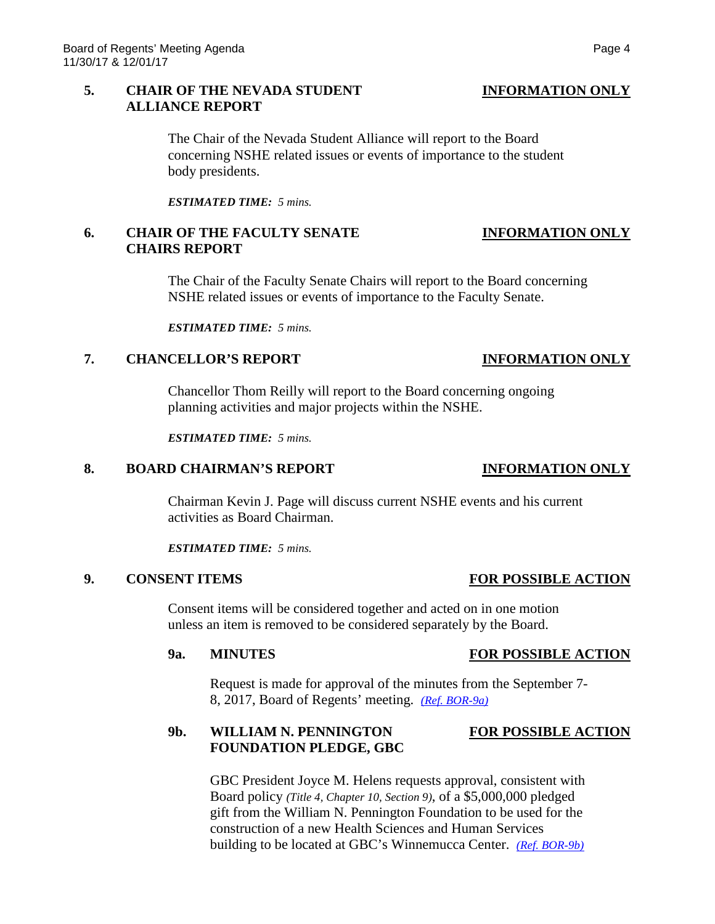### **5. CHAIR OF THE NEVADA STUDENT INFORMATION ONLY ALLIANCE REPORT**

The Chair of the Nevada Student Alliance will report to the Board concerning NSHE related issues or events of importance to the student body presidents.

*ESTIMATED TIME: 5 mins.*

### **6. CHAIR OF THE FACULTY SENATE INFORMATION ONLY CHAIRS REPORT**

The Chair of the Faculty Senate Chairs will report to the Board concerning NSHE related issues or events of importance to the Faculty Senate.

*ESTIMATED TIME: 5 mins.*

### **7. CHANCELLOR'S REPORT INFORMATION ONLY**

Chancellor Thom Reilly will report to the Board concerning ongoing planning activities and major projects within the NSHE.

*ESTIMATED TIME: 5 mins.*

### **8. BOARD CHAIRMAN'S REPORT INFORMATION ONLY**

Chairman Kevin J. Page will discuss current NSHE events and his current activities as Board Chairman.

*ESTIMATED TIME: 5 mins.*

# **9. CONSENT ITEMS FOR POSSIBLE ACTION**

Consent items will be considered together and acted on in one motion unless an item is removed to be considered separately by the Board.

### **9a. MINUTES FOR POSSIBLE ACTION**

Request is made for approval of the minutes from the September 7- 8, 2017, Board of Regents' meeting. *[\(Ref. BOR-9a\)](https://nshe.nevada.edu/wp-content/uploads/file/BoardOfRegents/Agendas/2017/nov-mtgs/bor-ref/BOR-9a.pdf)*

## **9b. WILLIAM N. PENNINGTON FOR POSSIBLE ACTION FOUNDATION PLEDGE, GBC**

GBC President Joyce M. Helens requests approval, consistent with Board policy *(Title 4, Chapter 10, Section 9)*, of a \$5,000,000 pledged gift from the William N. Pennington Foundation to be used for the construction of a new Health Sciences and Human Services building to be located at GBC's Winnemucca Center. *[\(Ref. BOR-9b\)](https://nshe.nevada.edu/wp-content/uploads/file/BoardOfRegents/Agendas/2017/nov-mtgs/bor-ref/BOR-9b.pdf)*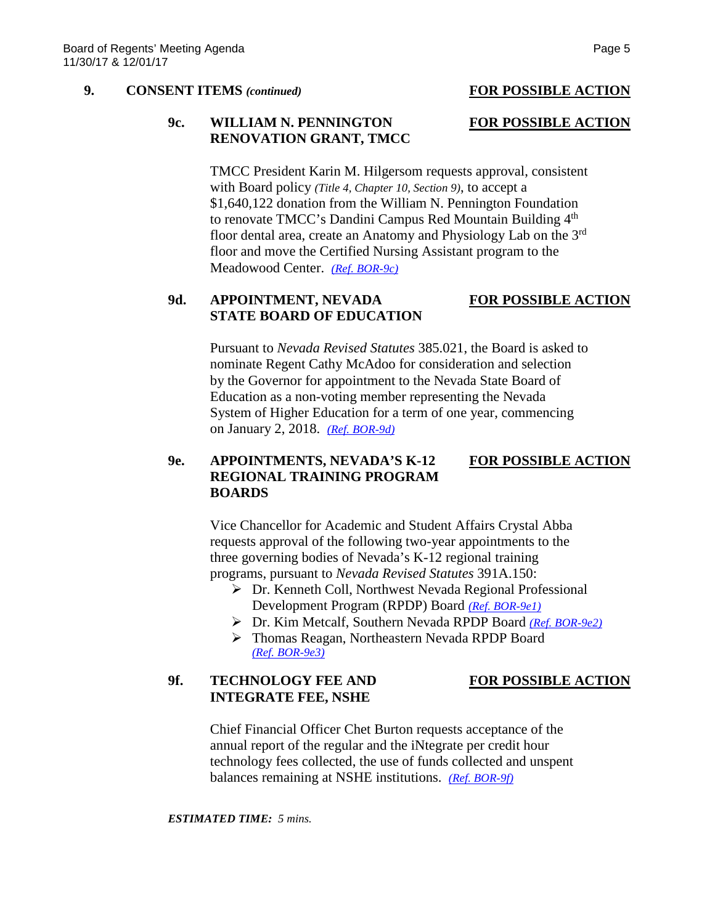#### **9. CONSENT ITEMS** *(continued)* **FOR POSSIBLE ACTION**

### **9c. WILLIAM N. PENNINGTON FOR POSSIBLE ACTION RENOVATION GRANT, TMCC**

TMCC President Karin M. Hilgersom requests approval, consistent with Board policy *(Title 4, Chapter 10, Section 9)*, to accept a \$1,640,122 donation from the William N. Pennington Foundation to renovate TMCC's Dandini Campus Red Mountain Building 4<sup>th</sup> floor dental area, create an Anatomy and Physiology Lab on the 3rd floor and move the Certified Nursing Assistant program to the Meadowood Center. *[\(Ref. BOR-9c\)](https://nshe.nevada.edu/wp-content/uploads/file/BoardOfRegents/Agendas/2017/nov-mtgs/bor-ref/BOR-9c.pdf)*

## **9d. APPOINTMENT, NEVADA FOR POSSIBLE ACTION STATE BOARD OF EDUCATION**

Pursuant to *Nevada Revised Statutes* 385.021, the Board is asked to nominate Regent Cathy McAdoo for consideration and selection by the Governor for appointment to the Nevada State Board of Education as a non-voting member representing the Nevada System of Higher Education for a term of one year, commencing on January 2, 2018. *[\(Ref. BOR-9d\)](https://nshe.nevada.edu/wp-content/uploads/file/BoardOfRegents/Agendas/2017/nov-mtgs/bor-ref/BOR-9d.pdf)*

### **9e. APPOINTMENTS, NEVADA'S K-12 FOR POSSIBLE ACTION REGIONAL TRAINING PROGRAM BOARDS**

Vice Chancellor for Academic and Student Affairs Crystal Abba requests approval of the following two-year appointments to the three governing bodies of Nevada's K-12 regional training programs, pursuant to *Nevada Revised Statutes* 391A.150:

- Dr. Kenneth Coll, Northwest Nevada Regional Professional Development Program (RPDP) Board *[\(Ref. BOR-9e1\)](https://nshe.nevada.edu/wp-content/uploads/file/BoardOfRegents/Agendas/2017/nov-mtgs/bor-ref/BOR-9e1.pdf)*
- Dr. Kim Metcalf, Southern Nevada RPDP Board *[\(Ref. BOR-9e2\)](https://nshe.nevada.edu/wp-content/uploads/file/BoardOfRegents/Agendas/2017/nov-mtgs/bor-ref/BOR-9e2.pdf)*
- Thomas Reagan, Northeastern Nevada RPDP Board *[\(Ref. BOR-9e3\)](https://nshe.nevada.edu/wp-content/uploads/file/BoardOfRegents/Agendas/2017/nov-mtgs/bor-ref/BOR-9e3.pdf)*

### 9f. TECHNOLOGY FEE AND FOR POSSIBLE ACTION **INTEGRATE FEE, NSHE**

Chief Financial Officer Chet Burton requests acceptance of the annual report of the regular and the iNtegrate per credit hour technology fees collected, the use of funds collected and unspent balances remaining at NSHE institutions. *[\(Ref. BOR-9f\)](https://nshe.nevada.edu/wp-content/uploads/file/BoardOfRegents/Agendas/2017/nov-mtgs/bor-ref/BOR-9f.pdf)*

*ESTIMATED TIME: 5 mins.*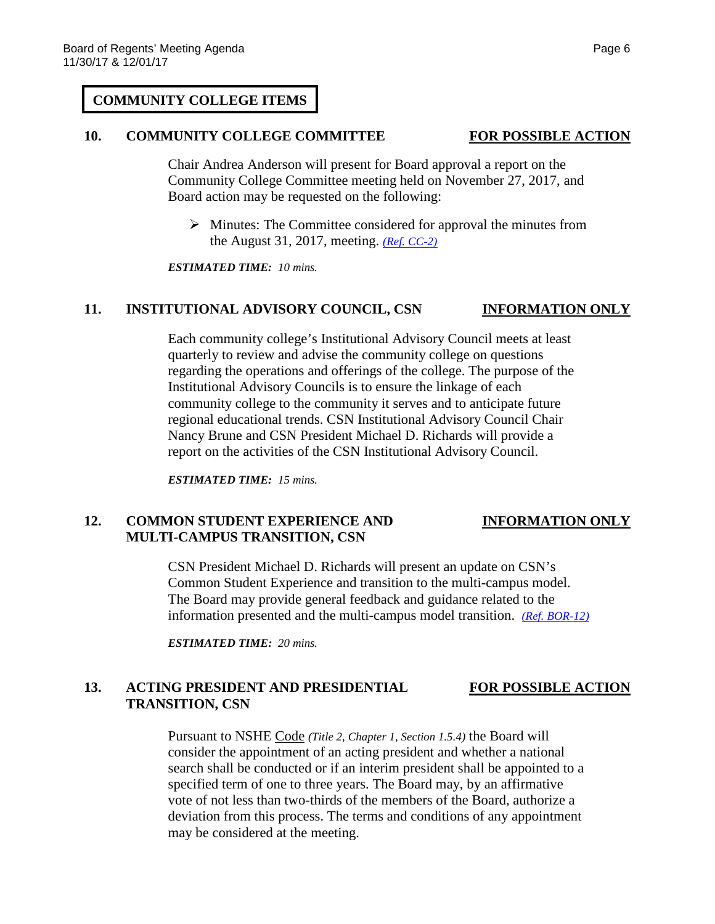#### **COMMUNITY COLLEGE ITEMS**

#### **10. COMMUNITY COLLEGE COMMITTEE FOR POSSIBLE ACTION**

Chair Andrea Anderson will present for Board approval a report on the Community College Committee meeting held on November 27, 2017, and Board action may be requested on the following:

 $\triangleright$  Minutes: The Committee considered for approval the minutes from the August 31, 2017, meeting. *[\(Ref. CC-2\)](https://nshe.nevada.edu/wp-content/uploads/file/BoardOfRegents/Agendas/2017/nov-mtgs/cc-ref/CC-2.pdf)*

*ESTIMATED TIME: 10 mins.*

#### **11. INSTITUTIONAL ADVISORY COUNCIL, CSN INFORMATION ONLY**

Each community college's Institutional Advisory Council meets at least quarterly to review and advise the community college on questions regarding the operations and offerings of the college. The purpose of the Institutional Advisory Councils is to ensure the linkage of each community college to the community it serves and to anticipate future regional educational trends. CSN Institutional Advisory Council Chair Nancy Brune and CSN President Michael D. Richards will provide a report on the activities of the CSN Institutional Advisory Council.

*ESTIMATED TIME: 15 mins.*

#### 12. **COMMON STUDENT EXPERIENCE AND INFORMATION ONLY MULTI-CAMPUS TRANSITION, CSN**

CSN President Michael D. Richards will present an update on CSN's Common Student Experience and transition to the multi-campus model. The Board may provide general feedback and guidance related to the information presented and the multi-campus model transition. *[\(Ref. BOR-12\)](https://nshe.nevada.edu/wp-content/uploads/file/BoardOfRegents/Agendas/2017/nov-mtgs/bor-ref/BOR-12.pdf)*

*ESTIMATED TIME: 20 mins.*

### **13. ACTING PRESIDENT AND PRESIDENTIAL FOR POSSIBLE ACTION TRANSITION, CSN**

Pursuant to NSHE Code *(Title 2, Chapter 1, Section 1.5.4)* the Board will consider the appointment of an acting president and whether a national search shall be conducted or if an interim president shall be appointed to a specified term of one to three years. The Board may, by an affirmative vote of not less than two-thirds of the members of the Board, authorize a deviation from this process. The terms and conditions of any appointment may be considered at the meeting.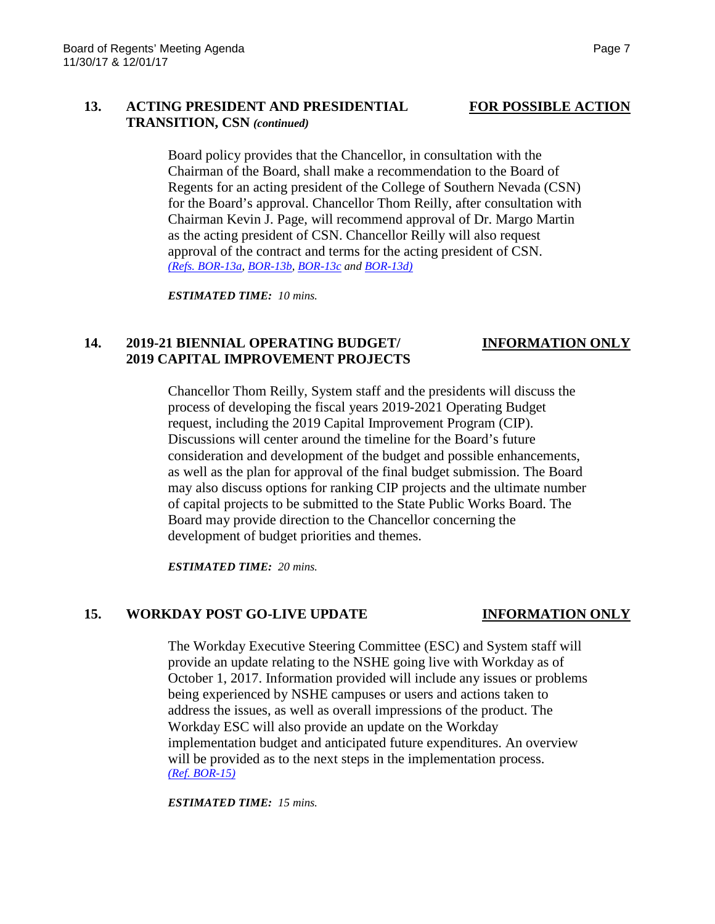## **13. ACTING PRESIDENT AND PRESIDENTIAL FOR POSSIBLE ACTION TRANSITION, CSN** *(continued)*

Board policy provides that the Chancellor, in consultation with the Chairman of the Board, shall make a recommendation to the Board of Regents for an acting president of the College of Southern Nevada (CSN) for the Board's approval. Chancellor Thom Reilly, after consultation with Chairman Kevin J. Page, will recommend approval of Dr. Margo Martin as the acting president of CSN. Chancellor Reilly will also request approval of the contract and terms for the acting president of CSN. *[\(Refs. BOR-13a,](https://nshe.nevada.edu/wp-content/uploads/file/BoardOfRegents/Agendas/2017/nov-mtgs/bor-ref/BOR-13a.pdf) [BOR-13b,](https://nshe.nevada.edu/wp-content/uploads/file/BoardOfRegents/Agendas/2017/nov-mtgs/bor-ref/BOR-13b.pdf) [BOR-13c](https://nshe.nevada.edu/wp-content/uploads/file/BoardOfRegents/Agendas/2017/nov-mtgs/bor-ref/BOR-13c.pdf) and [BOR-13d\)](https://nshe.nevada.edu/wp-content/uploads/file/BoardOfRegents/Agendas/2017/nov-mtgs/bor-ref/BOR-13d.pdf)*

*ESTIMATED TIME: 10 mins.*

# **14. 2019-21 BIENNIAL OPERATING BUDGET/ INFORMATION ONLY 2019 CAPITAL IMPROVEMENT PROJECTS**

Chancellor Thom Reilly, System staff and the presidents will discuss the process of developing the fiscal years 2019-2021 Operating Budget request, including the 2019 Capital Improvement Program (CIP). Discussions will center around the timeline for the Board's future consideration and development of the budget and possible enhancements, as well as the plan for approval of the final budget submission. The Board may also discuss options for ranking CIP projects and the ultimate number of capital projects to be submitted to the State Public Works Board. The Board may provide direction to the Chancellor concerning the development of budget priorities and themes.

*ESTIMATED TIME: 20 mins.*

### **15. WORKDAY POST GO-LIVE UPDATE INFORMATION ONLY**

The Workday Executive Steering Committee (ESC) and System staff will provide an update relating to the NSHE going live with Workday as of October 1, 2017. Information provided will include any issues or problems being experienced by NSHE campuses or users and actions taken to address the issues, as well as overall impressions of the product. The Workday ESC will also provide an update on the Workday implementation budget and anticipated future expenditures. An overview will be provided as to the next steps in the implementation process. *[\(Ref. BOR-15\)](https://nshe.nevada.edu/wp-content/uploads/file/BoardOfRegents/Agendas/2017/nov-mtgs/bor-ref/BOR-15.pdf)*

*ESTIMATED TIME: 15 mins.*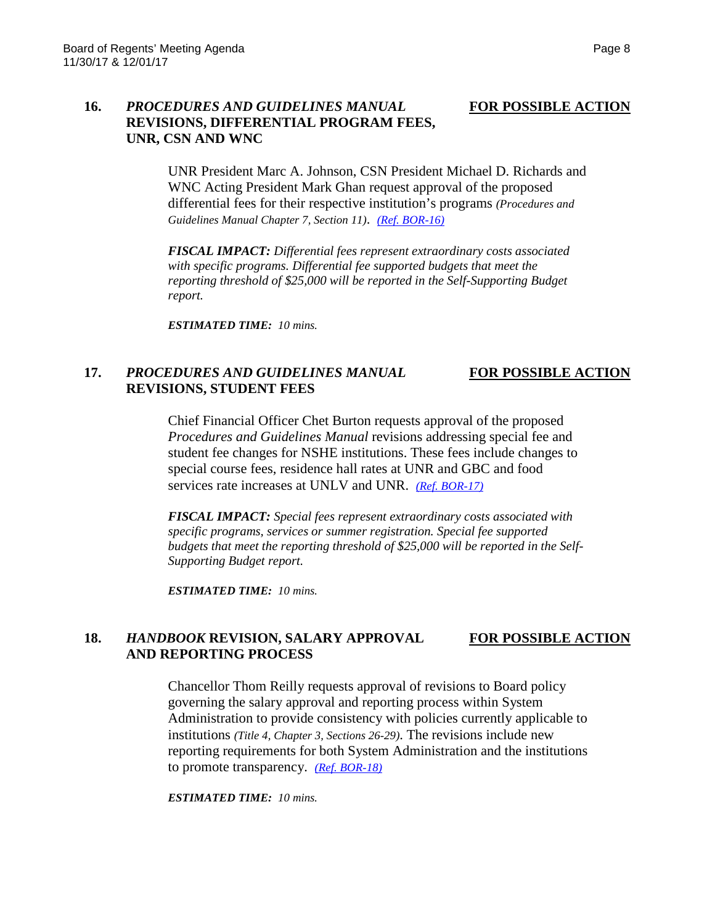### **16.** *PROCEDURES AND GUIDELINES MANUAL* **FOR POSSIBLE ACTION REVISIONS, DIFFERENTIAL PROGRAM FEES, UNR, CSN AND WNC**

UNR President Marc A. Johnson, CSN President Michael D. Richards and WNC Acting President Mark Ghan request approval of the proposed differential fees for their respective institution's programs *(Procedures and Guidelines Manual Chapter 7, Section 11)*. *[\(Ref. BOR-16\)](https://nshe.nevada.edu/wp-content/uploads/file/BoardOfRegents/Agendas/2017/nov-mtgs/bor-ref/BOR-16.pdf)*

*FISCAL IMPACT: Differential fees represent extraordinary costs associated with specific programs. Differential fee supported budgets that meet the reporting threshold of \$25,000 will be reported in the Self-Supporting Budget report.*

*ESTIMATED TIME: 10 mins.*

### **17.** *PROCEDURES AND GUIDELINES MANUAL* **FOR POSSIBLE ACTION REVISIONS, STUDENT FEES**

Chief Financial Officer Chet Burton requests approval of the proposed *Procedures and Guidelines Manual* revisions addressing special fee and student fee changes for NSHE institutions. These fees include changes to special course fees, residence hall rates at UNR and GBC and food services rate increases at UNLV and UNR. *[\(Ref. BOR-17\)](https://nshe.nevada.edu/wp-content/uploads/file/BoardOfRegents/Agendas/2017/nov-mtgs/bor-ref/BOR-17.pdf)*

*FISCAL IMPACT: Special fees represent extraordinary costs associated with specific programs, services or summer registration. Special fee supported budgets that meet the reporting threshold of \$25,000 will be reported in the Self-Supporting Budget report.*

*ESTIMATED TIME: 10 mins.*

### **18.** *HANDBOOK* **REVISION, SALARY APPROVAL FOR POSSIBLE ACTION AND REPORTING PROCESS**

Chancellor Thom Reilly requests approval of revisions to Board policy governing the salary approval and reporting process within System Administration to provide consistency with policies currently applicable to institutions *(Title 4, Chapter 3, Sections 26-29)*. The revisions include new reporting requirements for both System Administration and the institutions to promote transparency. *[\(Ref. BOR-18\)](https://nshe.nevada.edu/wp-content/uploads/file/BoardOfRegents/Agendas/2017/nov-mtgs/bor-ref/BOR-18.pdf)*

*ESTIMATED TIME: 10 mins.*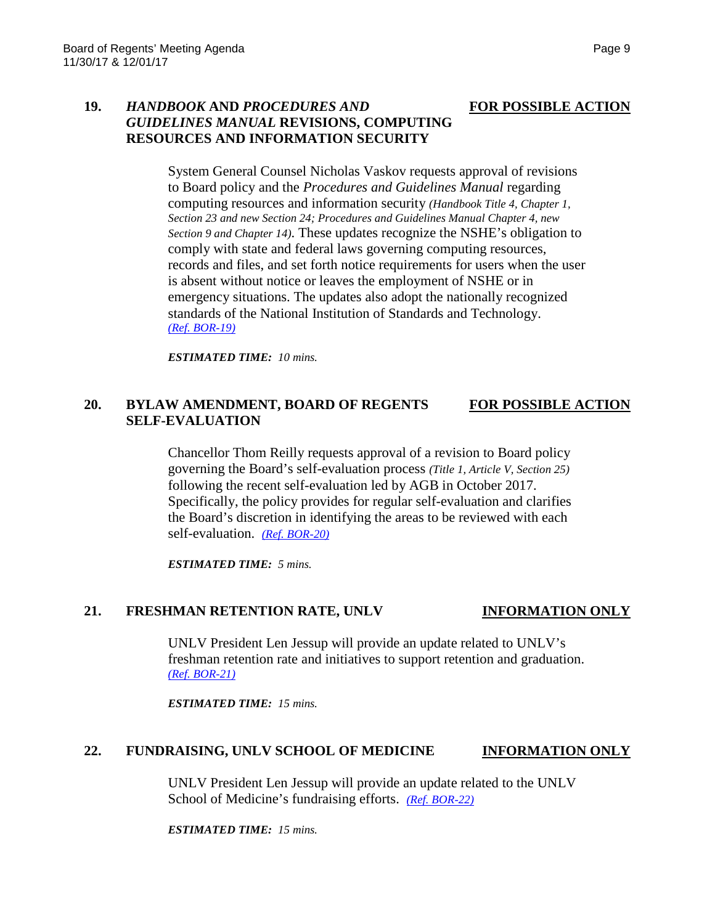### **19.** *HANDBOOK* **AND** *PROCEDURES AND* **FOR POSSIBLE ACTION** *GUIDELINES MANUAL* **REVISIONS, COMPUTING RESOURCES AND INFORMATION SECURITY**

System General Counsel Nicholas Vaskov requests approval of revisions to Board policy and the *Procedures and Guidelines Manual* regarding computing resources and information security *(Handbook Title 4, Chapter 1, Section 23 and new Section 24; Procedures and Guidelines Manual Chapter 4, new Section 9 and Chapter 14)*. These updates recognize the NSHE's obligation to comply with state and federal laws governing computing resources, records and files, and set forth notice requirements for users when the user is absent without notice or leaves the employment of NSHE or in emergency situations. The updates also adopt the nationally recognized standards of the National Institution of Standards and Technology. *[\(Ref. BOR-19\)](https://nshe.nevada.edu/wp-content/uploads/file/BoardOfRegents/Agendas/2017/nov-mtgs/bor-ref/BOR-19.pdf)* 

*ESTIMATED TIME: 10 mins.*

### **20. BYLAW AMENDMENT, BOARD OF REGENTS FOR POSSIBLE ACTION SELF-EVALUATION**

Chancellor Thom Reilly requests approval of a revision to Board policy governing the Board's self-evaluation process *(Title 1, Article V, Section 25)* following the recent self-evaluation led by AGB in October 2017. Specifically, the policy provides for regular self-evaluation and clarifies the Board's discretion in identifying the areas to be reviewed with each self-evaluation. *[\(Ref. BOR-20\)](https://nshe.nevada.edu/wp-content/uploads/file/BoardOfRegents/Agendas/2017/nov-mtgs/bor-ref/BOR-20.pdf)*

*ESTIMATED TIME: 5 mins.*

### 21. **FRESHMAN RETENTION RATE, UNLV INFORMATION ONLY**

UNLV President Len Jessup will provide an update related to UNLV's freshman retention rate and initiatives to support retention and graduation. *[\(Ref. BOR-21\)](https://nshe.nevada.edu/wp-content/uploads/file/BoardOfRegents/Agendas/2017/nov-mtgs/bor-ref/BOR-21.pdf)*

*ESTIMATED TIME: 15 mins.*

### **22. FUNDRAISING, UNLV SCHOOL OF MEDICINE INFORMATION ONLY**

UNLV President Len Jessup will provide an update related to the UNLV School of Medicine's fundraising efforts. *[\(Ref. BOR-22\)](https://nshe.nevada.edu/wp-content/uploads/file/BoardOfRegents/Agendas/2017/nov-mtgs/bor-ref/BOR-22.pdf)*

*ESTIMATED TIME: 15 mins.*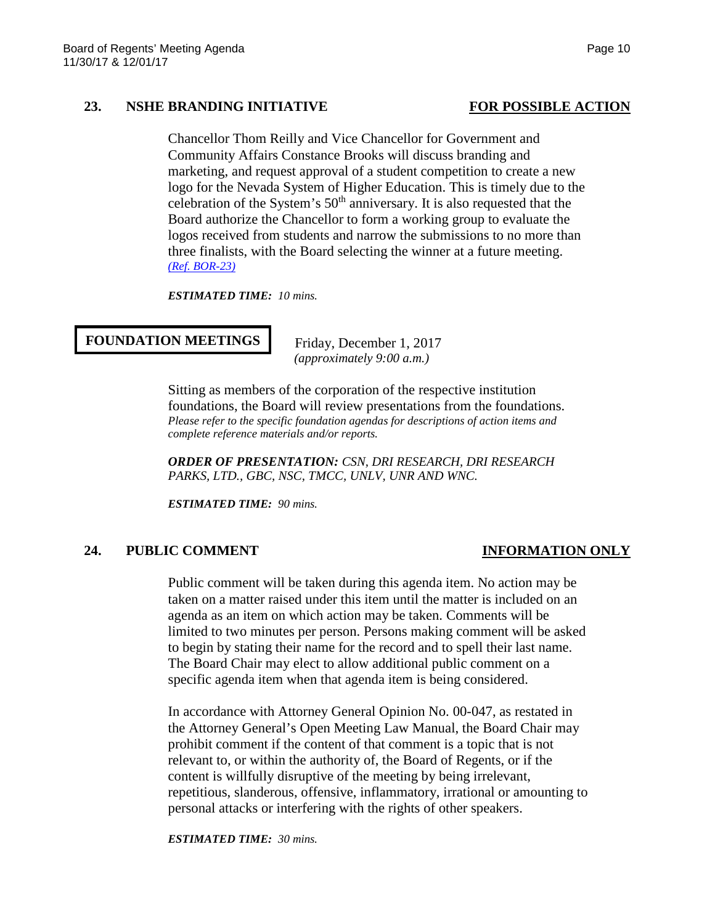### 23. **NSHE BRANDING INITIATIVE FOR POSSIBLE ACTION**

Chancellor Thom Reilly and Vice Chancellor for Government and Community Affairs Constance Brooks will discuss branding and marketing, and request approval of a student competition to create a new logo for the Nevada System of Higher Education. This is timely due to the celebration of the System's  $50<sup>th</sup>$  anniversary. It is also requested that the Board authorize the Chancellor to form a working group to evaluate the logos received from students and narrow the submissions to no more than three finalists, with the Board selecting the winner at a future meeting. *[\(Ref. BOR-23\)](https://nshe.nevada.edu/wp-content/uploads/file/BoardOfRegents/Agendas/2017/nov-mtgs/bor-ref/BOR-23.pdf)*

*ESTIMATED TIME: 10 mins.*

#### **FOUNDATION MEETINGS**

 Friday, December 1, 2017 *(approximately 9:00 a.m.)*

Sitting as members of the corporation of the respective institution foundations, the Board will review presentations from the foundations. *Please refer to the specific foundation agendas for descriptions of action items and complete reference materials and/or reports.*

*ORDER OF PRESENTATION: CSN, DRI RESEARCH, DRI RESEARCH PARKS, LTD., GBC, NSC, TMCC, UNLV, UNR AND WNC.* 

*ESTIMATED TIME: 90 mins.*

### **24. PUBLIC COMMENT INFORMATION ONLY**

Public comment will be taken during this agenda item. No action may be taken on a matter raised under this item until the matter is included on an agenda as an item on which action may be taken. Comments will be limited to two minutes per person. Persons making comment will be asked to begin by stating their name for the record and to spell their last name. The Board Chair may elect to allow additional public comment on a specific agenda item when that agenda item is being considered.

In accordance with Attorney General Opinion No. 00-047, as restated in the Attorney General's Open Meeting Law Manual, the Board Chair may prohibit comment if the content of that comment is a topic that is not relevant to, or within the authority of, the Board of Regents, or if the content is willfully disruptive of the meeting by being irrelevant, repetitious, slanderous, offensive, inflammatory, irrational or amounting to personal attacks or interfering with the rights of other speakers.

*ESTIMATED TIME: 30 mins.*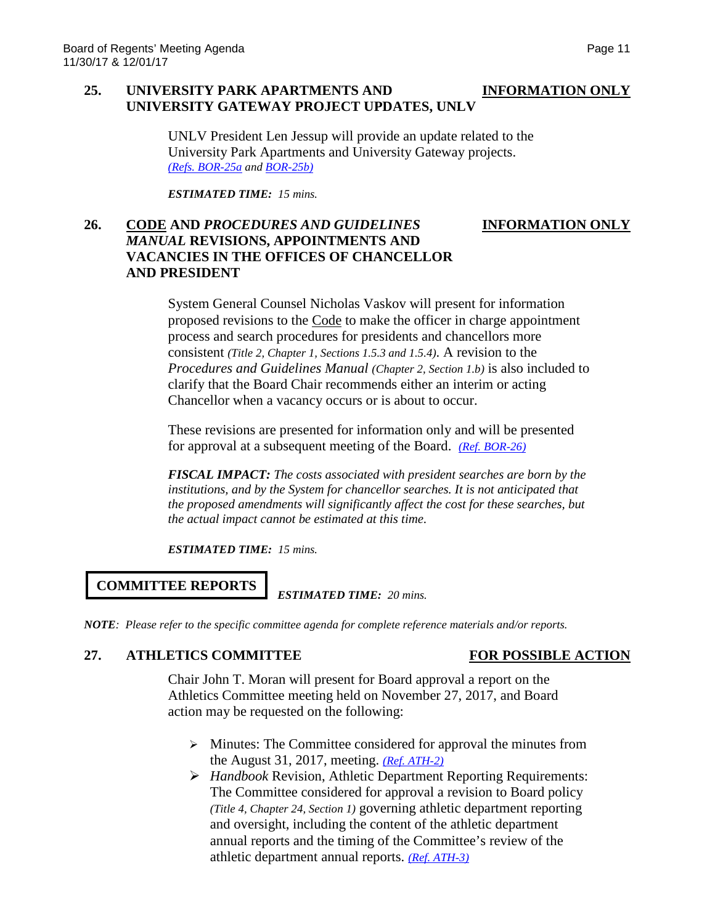### **25. UNIVERSITY PARK APARTMENTS AND INFORMATION ONLY UNIVERSITY GATEWAY PROJECT UPDATES, UNLV**

UNLV President Len Jessup will provide an update related to the University Park Apartments and University Gateway projects. *[\(Refs. BOR-25a](https://nshe.nevada.edu/wp-content/uploads/file/BoardOfRegents/Agendas/2017/nov-mtgs/bor-ref/BOR-25a.pdf) and [BOR-25b\)](https://nshe.nevada.edu/wp-content/uploads/file/BoardOfRegents/Agendas/2017/nov-mtgs/bor-ref/BOR-25b.pdf)*

*ESTIMATED TIME: 15 mins.*

### **26. CODE AND** *PROCEDURES AND GUIDELINES* **INFORMATION ONLY** *MANUAL* **REVISIONS, APPOINTMENTS AND VACANCIES IN THE OFFICES OF CHANCELLOR AND PRESIDENT**

System General Counsel Nicholas Vaskov will present for information proposed revisions to the Code to make the officer in charge appointment process and search procedures for presidents and chancellors more consistent *(Title 2, Chapter 1, Sections 1.5.3 and 1.5.4)*. A revision to the *Procedures and Guidelines Manual (Chapter 2, Section 1.b)* is also included to clarify that the Board Chair recommends either an interim or acting Chancellor when a vacancy occurs or is about to occur.

These revisions are presented for information only and will be presented for approval at a subsequent meeting of the Board. *[\(Ref. BOR-26\)](https://nshe.nevada.edu/wp-content/uploads/file/BoardOfRegents/Agendas/2017/nov-mtgs/bor-ref/BOR-26.pdf)*

*FISCAL IMPACT: The costs associated with president searches are born by the institutions, and by the System for chancellor searches. It is not anticipated that the proposed amendments will significantly affect the cost for these searches, but the actual impact cannot be estimated at this time.*

*ESTIMATED TIME: 15 mins.*

# **COMMITTEE REPORTS**

*ESTIMATED TIME: 20 mins.*

*NOTE: Please refer to the specific committee agenda for complete reference materials and/or reports.*

## **27. ATHLETICS COMMITTEE FOR POSSIBLE ACTION**

Chair John T. Moran will present for Board approval a report on the Athletics Committee meeting held on November 27, 2017, and Board action may be requested on the following:

- $\triangleright$  Minutes: The Committee considered for approval the minutes from the August 31, 2017, meeting. *[\(Ref. ATH-2\)](https://nshe.nevada.edu/wp-content/uploads/file/BoardOfRegents/Agendas/2017/nov-mtgs/ath-ref/ATH-2.pdf)*
- *Handbook* Revision, Athletic Department Reporting Requirements: The Committee considered for approval a revision to Board policy *(Title 4, Chapter 24, Section 1)* governing athletic department reporting and oversight, including the content of the athletic department annual reports and the timing of the Committee's review of the athletic department annual reports. *[\(Ref. ATH-3\)](https://nshe.nevada.edu/wp-content/uploads/file/BoardOfRegents/Agendas/2017/nov-mtgs/ath-ref/ATH-3.pdf)*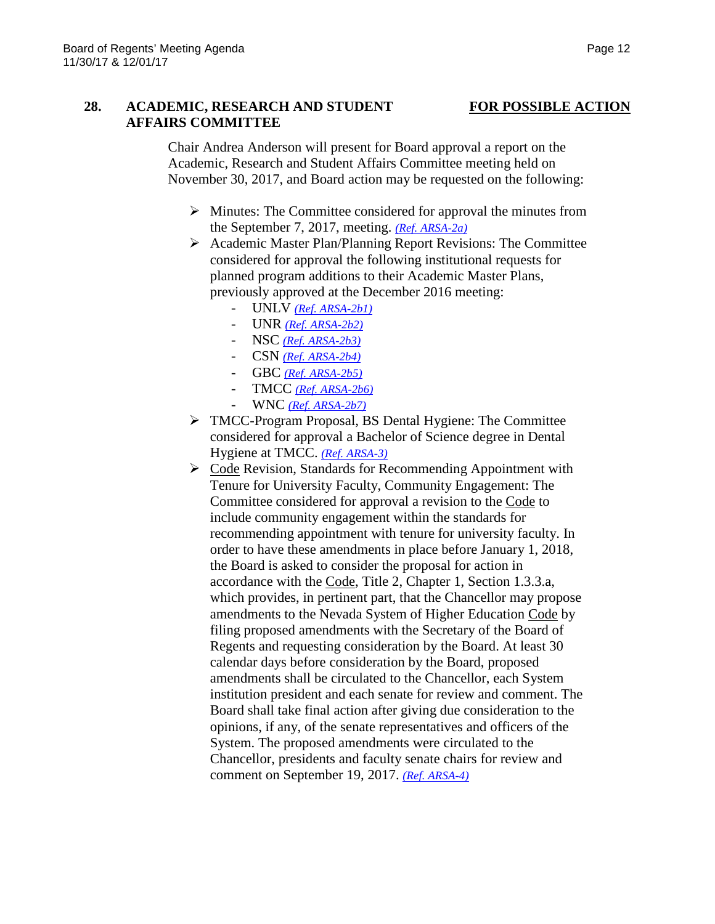## **28. ACADEMIC, RESEARCH AND STUDENT FOR POSSIBLE ACTION AFFAIRS COMMITTEE**

Chair Andrea Anderson will present for Board approval a report on the Academic, Research and Student Affairs Committee meeting held on November 30, 2017, and Board action may be requested on the following:

- $\triangleright$  Minutes: The Committee considered for approval the minutes from the September 7, 2017, meeting. *[\(Ref. ARSA-2a\)](https://nshe.nevada.edu/wp-content/uploads/file/BoardOfRegents/Agendas/2017/nov-mtgs/arsa-ref/ARSA-2a.pdf)*
- $\triangleright$  Academic Master Plan/Planning Report Revisions: The Committee considered for approval the following institutional requests for planned program additions to their Academic Master Plans, previously approved at the December 2016 meeting:
	- UNLV *[\(Ref. ARSA-2b1\)](https://nshe.nevada.edu/wp-content/uploads/file/BoardOfRegents/Agendas/2017/nov-mtgs/arsa-ref/ARSA-2b1.pdf)*
	- UNR *[\(Ref. ARSA-2b2\)](https://nshe.nevada.edu/wp-content/uploads/file/BoardOfRegents/Agendas/2017/nov-mtgs/arsa-ref/ARSA-2b2.pdf)*
	- NSC *[\(Ref. ARSA-2b3\)](https://nshe.nevada.edu/wp-content/uploads/file/BoardOfRegents/Agendas/2017/nov-mtgs/arsa-ref/ARSA-2b3.pdf)*
	- CSN *[\(Ref. ARSA-2b4\)](https://nshe.nevada.edu/wp-content/uploads/file/BoardOfRegents/Agendas/2017/nov-mtgs/arsa-ref/ARSA-2b4.pdf)*
	- GBC *[\(Ref. ARSA-2b5\)](https://nshe.nevada.edu/wp-content/uploads/file/BoardOfRegents/Agendas/2017/nov-mtgs/arsa-ref/ARSA-2b5.pdf)*
	- TMCC *[\(Ref. ARSA-2b6\)](https://nshe.nevada.edu/wp-content/uploads/file/BoardOfRegents/Agendas/2017/nov-mtgs/arsa-ref/ARSA-2b6.pdf)*
	- WNC *[\(Ref. ARSA-2b7\)](https://nshe.nevada.edu/wp-content/uploads/file/BoardOfRegents/Agendas/2017/nov-mtgs/arsa-ref/ARSA-2b7.pdf)*
- TMCC-Program Proposal, BS Dental Hygiene: The Committee considered for approval a Bachelor of Science degree in Dental Hygiene at TMCC. *[\(Ref. ARSA-3\)](https://nshe.nevada.edu/wp-content/uploads/file/BoardOfRegents/Agendas/2017/nov-mtgs/arsa-ref/ARSA-3.pdf)*
- ▶ Code Revision, Standards for Recommending Appointment with Tenure for University Faculty, Community Engagement: The Committee considered for approval a revision to the Code to include community engagement within the standards for recommending appointment with tenure for university faculty. In order to have these amendments in place before January 1, 2018, the Board is asked to consider the proposal for action in accordance with the Code, Title 2, Chapter 1, Section 1.3.3.a, which provides, in pertinent part, that the Chancellor may propose amendments to the Nevada System of Higher Education Code by filing proposed amendments with the Secretary of the Board of Regents and requesting consideration by the Board. At least 30 calendar days before consideration by the Board, proposed amendments shall be circulated to the Chancellor, each System institution president and each senate for review and comment. The Board shall take final action after giving due consideration to the opinions, if any, of the senate representatives and officers of the System. The proposed amendments were circulated to the Chancellor, presidents and faculty senate chairs for review and comment on September 19, 2017. *(Ref. [ARSA-4\)](https://nshe.nevada.edu/wp-content/uploads/file/BoardOfRegents/Agendas/2017/nov-mtgs/arsa-ref/ARSA-4.pdf)*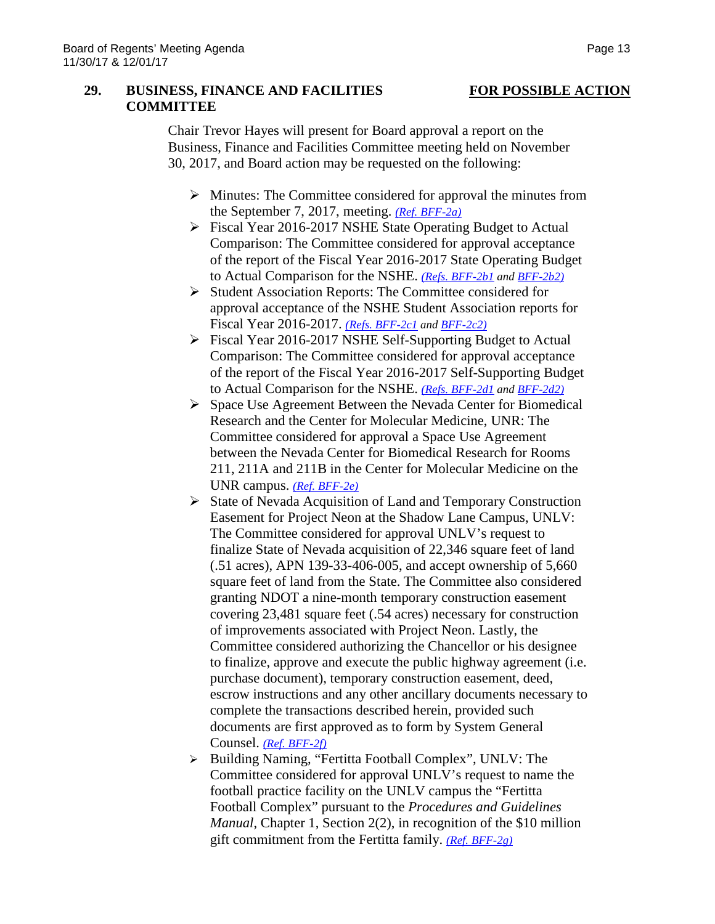#### **29. BUSINESS, FINANCE AND FACILITIES FOR POSSIBLE ACTION COMMITTEE**

Chair Trevor Hayes will present for Board approval a report on the Business, Finance and Facilities Committee meeting held on November 30, 2017, and Board action may be requested on the following:

- $\triangleright$  Minutes: The Committee considered for approval the minutes from the September 7, 2017, meeting. *[\(Ref. BFF-2a\)](https://nshe.nevada.edu/wp-content/uploads/file/BoardOfRegents/Agendas/2017/nov-mtgs/bff-ref/BFF-2a.pdf)*
- Fiscal Year 2016-2017 NSHE State Operating Budget to Actual Comparison: The Committee considered for approval acceptance of the report of the Fiscal Year 2016-2017 State Operating Budget to Actual Comparison for the NSHE. *[\(Refs. BFF-2b1](https://nshe.nevada.edu/wp-content/uploads/file/BoardOfRegents/Agendas/2017/nov-mtgs/bff-ref/BFF-2b(1).pdf) and [BFF-2b2\)](https://nshe.nevada.edu/wp-content/uploads/file/BoardOfRegents/Agendas/2017/nov-mtgs/bff-ref/BFF-2b(2).pdf)*
- $\triangleright$  Student Association Reports: The Committee considered for approval acceptance of the NSHE Student Association reports for Fiscal Year 2016-2017. *[\(Refs. BFF-2c1](https://nshe.nevada.edu/wp-content/uploads/file/BoardOfRegents/Agendas/2017/nov-mtgs/bff-ref/BFF-2c(1).pdf) an[d BFF-2c2\)](https://nshe.nevada.edu/wp-content/uploads/file/BoardOfRegents/Agendas/2017/nov-mtgs/bff-ref/BFF-2c(2).pdf)*
- Fiscal Year 2016-2017 NSHE Self-Supporting Budget to Actual Comparison: The Committee considered for approval acceptance of the report of the Fiscal Year 2016-2017 Self-Supporting Budget to Actual Comparison for the NSHE. *[\(Refs. BFF-2d1](https://nshe.nevada.edu/wp-content/uploads/file/BoardOfRegents/Agendas/2017/nov-mtgs/bff-ref/BFF-2d(1).pdf) and [BFF-2d2\)](https://nshe.nevada.edu/wp-content/uploads/file/BoardOfRegents/Agendas/2017/nov-mtgs/bff-ref/BFF-2d(2).pdf)*
- $\triangleright$  Space Use Agreement Between the Nevada Center for Biomedical Research and the Center for Molecular Medicine, UNR: The Committee considered for approval a Space Use Agreement between the Nevada Center for Biomedical Research for Rooms 211, 211A and 211B in the Center for Molecular Medicine on the UNR campus. *[\(Ref. BFF-2e\)](https://nshe.nevada.edu/wp-content/uploads/file/BoardOfRegents/Agendas/2017/nov-mtgs/bff-ref/BFF-2e.pdf)*
- > State of Nevada Acquisition of Land and Temporary Construction Easement for Project Neon at the Shadow Lane Campus, UNLV: The Committee considered for approval UNLV's request to finalize State of Nevada acquisition of 22,346 square feet of land (.51 acres), APN 139-33-406-005, and accept ownership of 5,660 square feet of land from the State. The Committee also considered granting NDOT a nine-month temporary construction easement covering 23,481 square feet (.54 acres) necessary for construction of improvements associated with Project Neon. Lastly, the Committee considered authorizing the Chancellor or his designee to finalize, approve and execute the public highway agreement (i.e. purchase document), temporary construction easement, deed, escrow instructions and any other ancillary documents necessary to complete the transactions described herein, provided such documents are first approved as to form by System General Counsel. *[\(Ref. BFF-2f\)](https://nshe.nevada.edu/wp-content/uploads/file/BoardOfRegents/Agendas/2017/nov-mtgs/bff-ref/BFF-2f.pdf)*
- > Building Naming, "Fertitta Football Complex", UNLV: The Committee considered for approval UNLV's request to name the football practice facility on the UNLV campus the "Fertitta Football Complex" pursuant to the *Procedures and Guidelines Manual*, Chapter 1, Section 2(2), in recognition of the \$10 million gift commitment from the Fertitta family. *[\(Ref. BFF-2g\)](https://nshe.nevada.edu/wp-content/uploads/file/BoardOfRegents/Agendas/2017/nov-mtgs/bff-ref/BFF-2g.pdf)*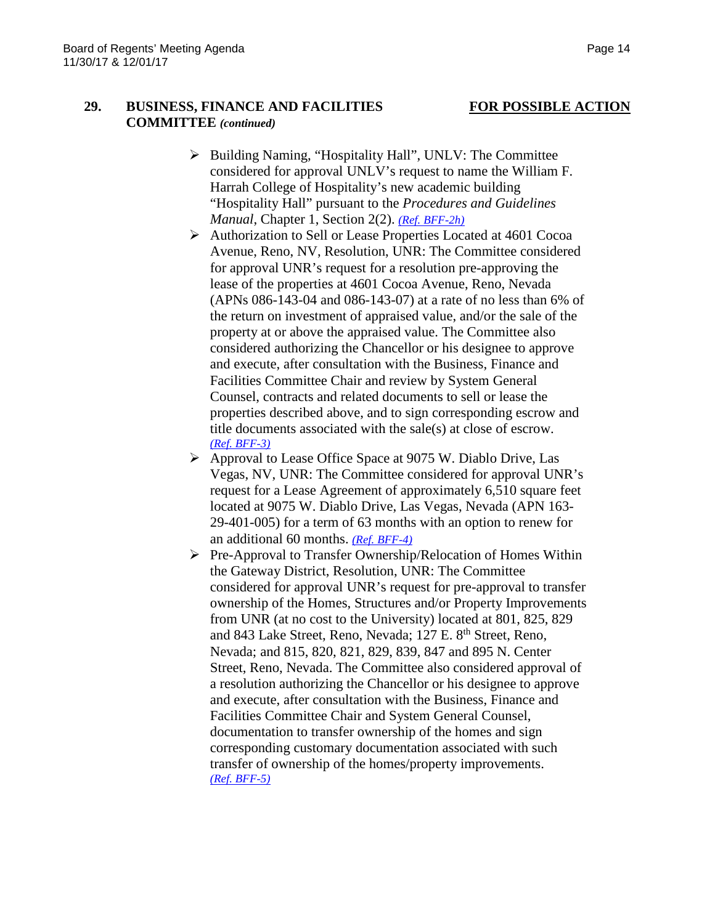### **29. BUSINESS, FINANCE AND FACILITIES FOR POSSIBLE ACTION COMMITTEE** *(continued)*

- Building Naming, "Hospitality Hall", UNLV: The Committee considered for approval UNLV's request to name the William F. Harrah College of Hospitality's new academic building "Hospitality Hall" pursuant to the *Procedures and Guidelines Manual*, Chapter 1, Section 2(2). *[\(Ref. BFF-2h\)](https://nshe.nevada.edu/wp-content/uploads/file/BoardOfRegents/Agendas/2017/nov-mtgs/bff-ref/BFF-2h.pdf)*
- Authorization to Sell or Lease Properties Located at 4601 Cocoa Avenue, Reno, NV, Resolution, UNR: The Committee considered for approval UNR's request for a resolution pre-approving the lease of the properties at 4601 Cocoa Avenue, Reno, Nevada (APNs 086-143-04 and 086-143-07) at a rate of no less than 6% of the return on investment of appraised value, and/or the sale of the property at or above the appraised value. The Committee also considered authorizing the Chancellor or his designee to approve and execute, after consultation with the Business, Finance and Facilities Committee Chair and review by System General Counsel, contracts and related documents to sell or lease the properties described above, and to sign corresponding escrow and title documents associated with the sale(s) at close of escrow. *[\(Ref. BFF-3\)](https://nshe.nevada.edu/wp-content/uploads/file/BoardOfRegents/Agendas/2017/nov-mtgs/bff-ref/BFF-3.pdf)*
- $\triangleright$  Approval to Lease Office Space at 9075 W. Diablo Drive, Las Vegas, NV, UNR: The Committee considered for approval UNR's request for a Lease Agreement of approximately 6,510 square feet located at 9075 W. Diablo Drive, Las Vegas, Nevada (APN 163- 29-401-005) for a term of 63 months with an option to renew for an additional 60 months. *[\(Ref. BFF-4\)](https://nshe.nevada.edu/wp-content/uploads/file/BoardOfRegents/Agendas/2017/nov-mtgs/bff-ref/BFF-4.pdf)*
- $\triangleright$  Pre-Approval to Transfer Ownership/Relocation of Homes Within the Gateway District, Resolution, UNR: The Committee considered for approval UNR's request for pre-approval to transfer ownership of the Homes, Structures and/or Property Improvements from UNR (at no cost to the University) located at 801, 825, 829 and 843 Lake Street, Reno, Nevada; 127 E. 8<sup>th</sup> Street, Reno, Nevada; and 815, 820, 821, 829, 839, 847 and 895 N. Center Street, Reno, Nevada. The Committee also considered approval of a resolution authorizing the Chancellor or his designee to approve and execute, after consultation with the Business, Finance and Facilities Committee Chair and System General Counsel, documentation to transfer ownership of the homes and sign corresponding customary documentation associated with such transfer of ownership of the homes/property improvements. *[\(Ref. BFF-5\)](https://nshe.nevada.edu/wp-content/uploads/file/BoardOfRegents/Agendas/2017/nov-mtgs/bff-ref/BFF-5.pdf)*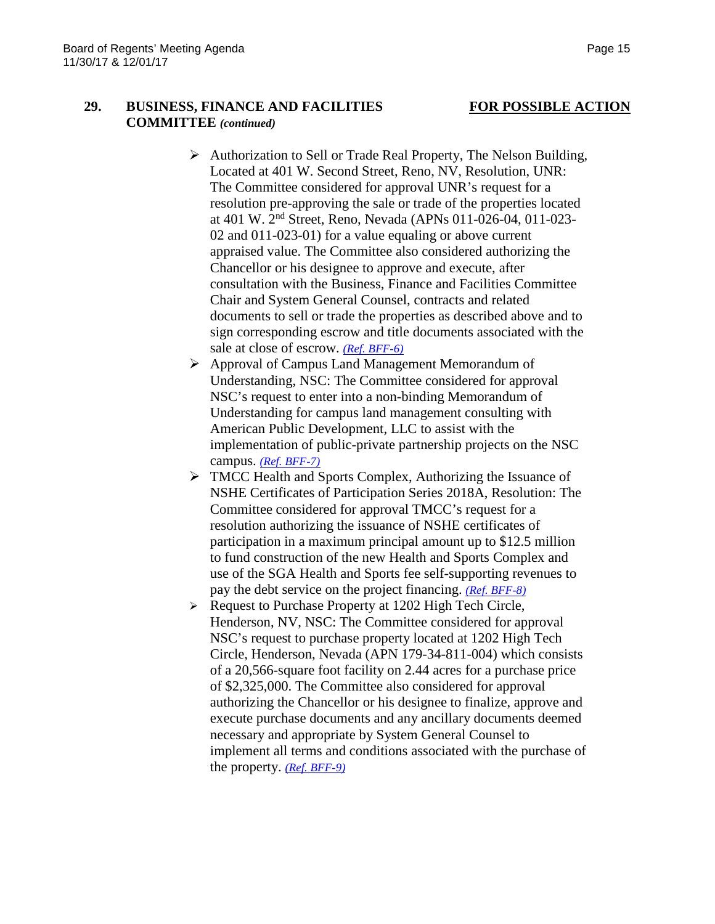### **29. BUSINESS, FINANCE AND FACILITIES FOR POSSIBLE ACTION COMMITTEE** *(continued)*

- Authorization to Sell or Trade Real Property, The Nelson Building, Located at 401 W. Second Street, Reno, NV, Resolution, UNR: The Committee considered for approval UNR's request for a resolution pre-approving the sale or trade of the properties located at 401 W. 2nd Street, Reno, Nevada (APNs 011-026-04, 011-023- 02 and 011-023-01) for a value equaling or above current appraised value. The Committee also considered authorizing the Chancellor or his designee to approve and execute, after consultation with the Business, Finance and Facilities Committee Chair and System General Counsel, contracts and related documents to sell or trade the properties as described above and to sign corresponding escrow and title documents associated with the sale at close of escrow. *[\(Ref. BFF-6\)](https://nshe.nevada.edu/wp-content/uploads/file/BoardOfRegents/Agendas/2017/nov-mtgs/bff-ref/BFF-6.pdf)*
- Approval of Campus Land Management Memorandum of Understanding, NSC: The Committee considered for approval NSC's request to enter into a non-binding Memorandum of Understanding for campus land management consulting with American Public Development, LLC to assist with the implementation of public-private partnership projects on the NSC campus. *[\(Ref. BFF-7\)](https://nshe.nevada.edu/wp-content/uploads/file/BoardOfRegents/Agendas/2017/nov-mtgs/bff-ref/BFF-7.pdf)*
- TMCC Health and Sports Complex, Authorizing the Issuance of NSHE Certificates of Participation Series 2018A, Resolution: The Committee considered for approval TMCC's request for a resolution authorizing the issuance of NSHE certificates of participation in a maximum principal amount up to \$12.5 million to fund construction of the new Health and Sports Complex and use of the SGA Health and Sports fee self-supporting revenues to pay the debt service on the project financing. *[\(Ref. BFF-8\)](https://nshe.nevada.edu/wp-content/uploads/file/BoardOfRegents/Agendas/2017/nov-mtgs/bff-ref/BFF-8.pdf)*
- $\triangleright$  Request to Purchase Property at 1202 High Tech Circle, Henderson, NV, NSC: The Committee considered for approval NSC's request to purchase property located at 1202 High Tech Circle, Henderson, Nevada (APN 179-34-811-004) which consists of a 20,566-square foot facility on 2.44 acres for a purchase price of \$2,325,000. The Committee also considered for approval authorizing the Chancellor or his designee to finalize, approve and execute purchase documents and any ancillary documents deemed necessary and appropriate by System General Counsel to implement all terms and conditions associated with the purchase of the property. *[\(Ref. BFF-9\)](https://nshe.nevada.edu/wp-content/uploads/file/BoardOfRegents/Agendas/2017/nov-mtgs/bff-ref/BFF-9.pdf)*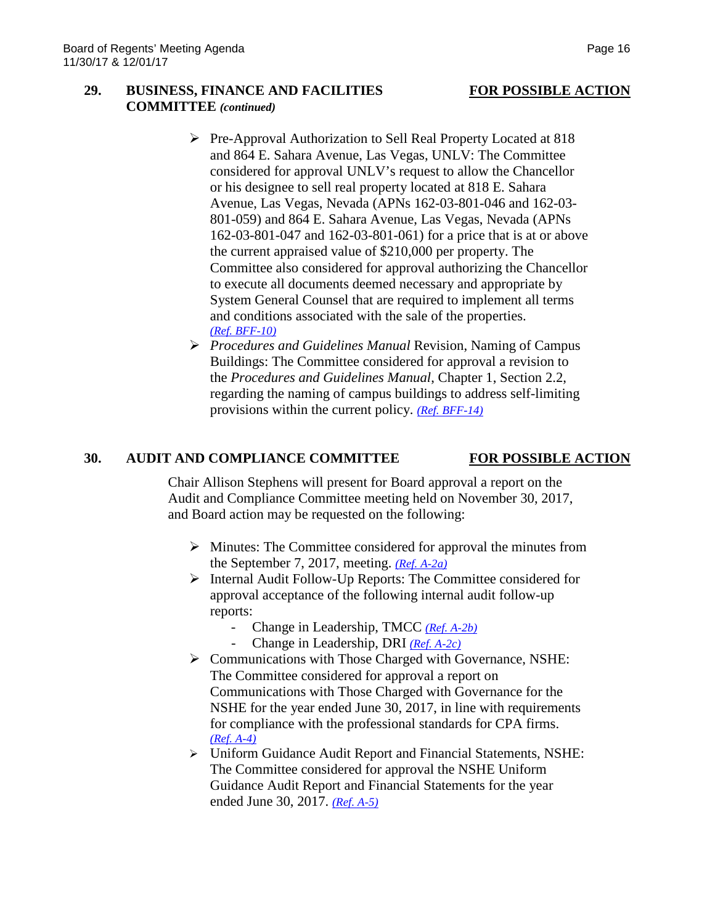### **29. BUSINESS, FINANCE AND FACILITIES FOR POSSIBLE ACTION COMMITTEE** *(continued)*

- Pre-Approval Authorization to Sell Real Property Located at 818 and 864 E. Sahara Avenue, Las Vegas, UNLV: The Committee considered for approval UNLV's request to allow the Chancellor or his designee to sell real property located at 818 E. Sahara Avenue, Las Vegas, Nevada (APNs 162-03-801-046 and 162-03- 801-059) and 864 E. Sahara Avenue, Las Vegas, Nevada (APNs 162-03-801-047 and 162-03-801-061) for a price that is at or above the current appraised value of \$210,000 per property. The Committee also considered for approval authorizing the Chancellor to execute all documents deemed necessary and appropriate by System General Counsel that are required to implement all terms and conditions associated with the sale of the properties. *[\(Ref. BFF-10\)](https://nshe.nevada.edu/wp-content/uploads/file/BoardOfRegents/Agendas/2017/nov-mtgs/bff-ref/BFF-10.pdf)*
- *Procedures and Guidelines Manual* Revision, Naming of Campus Buildings: The Committee considered for approval a revision to the *Procedures and Guidelines Manual*, Chapter 1, Section 2.2, regarding the naming of campus buildings to address self-limiting provisions within the current policy. *[\(Ref. BFF-14\)](https://nshe.nevada.edu/wp-content/uploads/file/BoardOfRegents/Agendas/2017/nov-mtgs/bff-ref/BFF-14.pdf)*

### **30. AUDIT AND COMPLIANCE COMMITTEE FOR POSSIBLE ACTION**

Chair Allison Stephens will present for Board approval a report on the Audit and Compliance Committee meeting held on November 30, 2017, and Board action may be requested on the following:

- $\triangleright$  Minutes: The Committee considered for approval the minutes from the September 7, 2017, meeting. *[\(Ref. A-2a\)](https://nshe.nevada.edu/wp-content/uploads/file/BoardOfRegents/Agendas/2017/nov-mtgs/audit-ref/A-2a.pdf)*
- $\triangleright$  Internal Audit Follow-Up Reports: The Committee considered for approval acceptance of the following internal audit follow-up reports:
	- Change in Leadership, TMCC *[\(Ref. A-2b\)](https://nshe.nevada.edu/wp-content/uploads/file/BoardOfRegents/Agendas/2017/nov-mtgs/audit-ref/A-2b.pdf)*
	- Change in Leadership, DRI *[\(Ref. A-2c\)](https://nshe.nevada.edu/wp-content/uploads/file/BoardOfRegents/Agendas/2017/nov-mtgs/audit-ref/A-2c.pdf)*
- Communications with Those Charged with Governance, NSHE: The Committee considered for approval a report on Communications with Those Charged with Governance for the NSHE for the year ended June 30, 2017, in line with requirements for compliance with the professional standards for CPA firms. *[\(Ref. A-4\)](https://nshe.nevada.edu/wp-content/uploads/file/BoardOfRegents/Agendas/2017/nov-mtgs/audit-ref/A-4.pdf)*
- Uniform Guidance Audit Report and Financial Statements, NSHE: The Committee considered for approval the NSHE Uniform Guidance Audit Report and Financial Statements for the year ended June 30, 2017. *[\(Ref. A-5\)](https://nshe.nevada.edu/wp-content/uploads/file/BoardOfRegents/Agendas/2017/nov-mtgs/audit-ref/A-5.pdf)*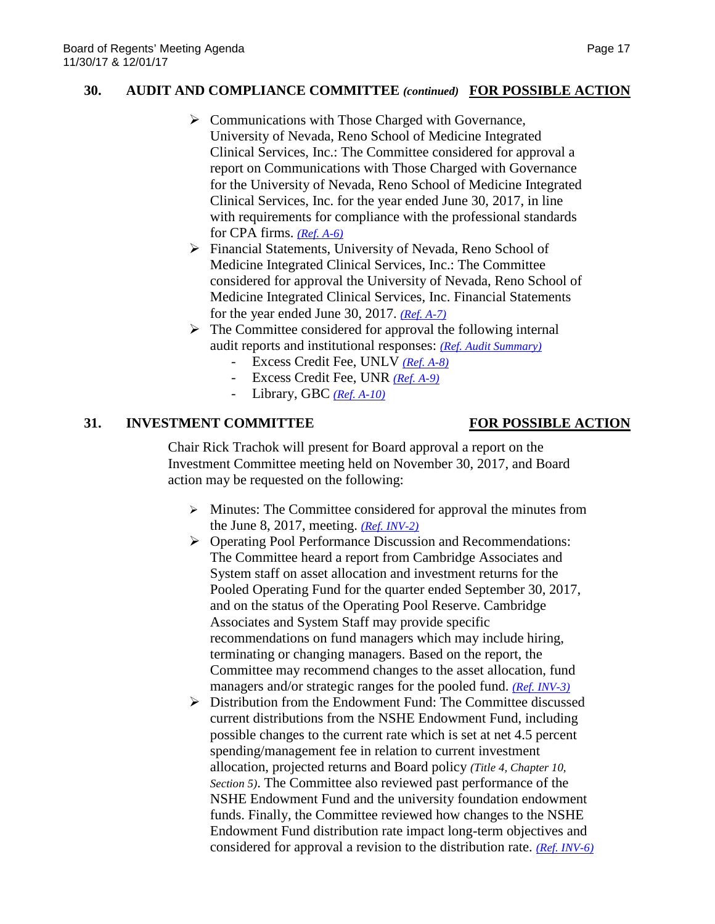#### **30. AUDIT AND COMPLIANCE COMMITTEE** *(continued)* **FOR POSSIBLE ACTION**

- $\triangleright$  Communications with Those Charged with Governance, University of Nevada, Reno School of Medicine Integrated Clinical Services, Inc.: The Committee considered for approval a report on Communications with Those Charged with Governance for the University of Nevada, Reno School of Medicine Integrated Clinical Services, Inc. for the year ended June 30, 2017, in line with requirements for compliance with the professional standards for CPA firms. *[\(Ref. A-6\)](https://nshe.nevada.edu/wp-content/uploads/file/BoardOfRegents/Agendas/2017/nov-mtgs/audit-ref/A-6.pdf)*
- Financial Statements, University of Nevada, Reno School of Medicine Integrated Clinical Services, Inc.: The Committee considered for approval the University of Nevada, Reno School of Medicine Integrated Clinical Services, Inc. Financial Statements for the year ended June 30, 2017. *[\(Ref. A-7\)](https://nshe.nevada.edu/wp-content/uploads/file/BoardOfRegents/Agendas/2017/nov-mtgs/audit-ref/A-7.pdf)*
- $\triangleright$  The Committee considered for approval the following internal audit reports and institutional responses: *[\(Ref. Audit Summary\)](https://nshe.nevada.edu/wp-content/uploads/file/BoardOfRegents/Agendas/2017/nov-mtgs/audit-ref/Audit%20Summary.pdf)*
	- Excess Credit Fee, UNLV *[\(Ref. A-8\)](https://nshe.nevada.edu/wp-content/uploads/file/BoardOfRegents/Agendas/2017/nov-mtgs/audit-ref/A-8.pdf)*
	- Excess Credit Fee, UNR *[\(Ref. A-9\)](https://nshe.nevada.edu/wp-content/uploads/file/BoardOfRegents/Agendas/2017/nov-mtgs/audit-ref/A-9.pdf)*
	- Library, GBC *[\(Ref. A-10\)](https://nshe.nevada.edu/wp-content/uploads/file/BoardOfRegents/Agendas/2017/nov-mtgs/audit-ref/A-10.pdf)*

### **31. INVESTMENT COMMITTEE FOR POSSIBLE ACTION**

Chair Rick Trachok will present for Board approval a report on the Investment Committee meeting held on November 30, 2017, and Board action may be requested on the following:

- $\triangleright$  Minutes: The Committee considered for approval the minutes from the June 8, 2017, meeting. *[\(Ref. INV-2\)](https://nshe.nevada.edu/wp-content/uploads/file/BoardOfRegents/Agendas/2017/nov-mtgs/inv-ref/INV-2.pdf)*
- Operating Pool Performance Discussion and Recommendations: The Committee heard a report from Cambridge Associates and System staff on asset allocation and investment returns for the Pooled Operating Fund for the quarter ended September 30, 2017, and on the status of the Operating Pool Reserve. Cambridge Associates and System Staff may provide specific recommendations on fund managers which may include hiring, terminating or changing managers. Based on the report, the Committee may recommend changes to the asset allocation, fund managers and/or strategic ranges for the pooled fund. *[\(Ref. INV-3\)](https://nshe.nevada.edu/wp-content/uploads/file/BoardOfRegents/Agendas/2017/nov-mtgs/inv-ref/INV-3.pdf)*
- Distribution from the Endowment Fund: The Committee discussed current distributions from the NSHE Endowment Fund, including possible changes to the current rate which is set at net 4.5 percent spending/management fee in relation to current investment allocation, projected returns and Board policy *(Title 4, Chapter 10, Section 5)*. The Committee also reviewed past performance of the NSHE Endowment Fund and the university foundation endowment funds. Finally, the Committee reviewed how changes to the NSHE Endowment Fund distribution rate impact long-term objectives and considered for approval a revision to the distribution rate. *[\(Ref. INV-6\)](https://nshe.nevada.edu/wp-content/uploads/file/BoardOfRegents/Agendas/2017/nov-mtgs/inv-ref/INV-6.pdf)*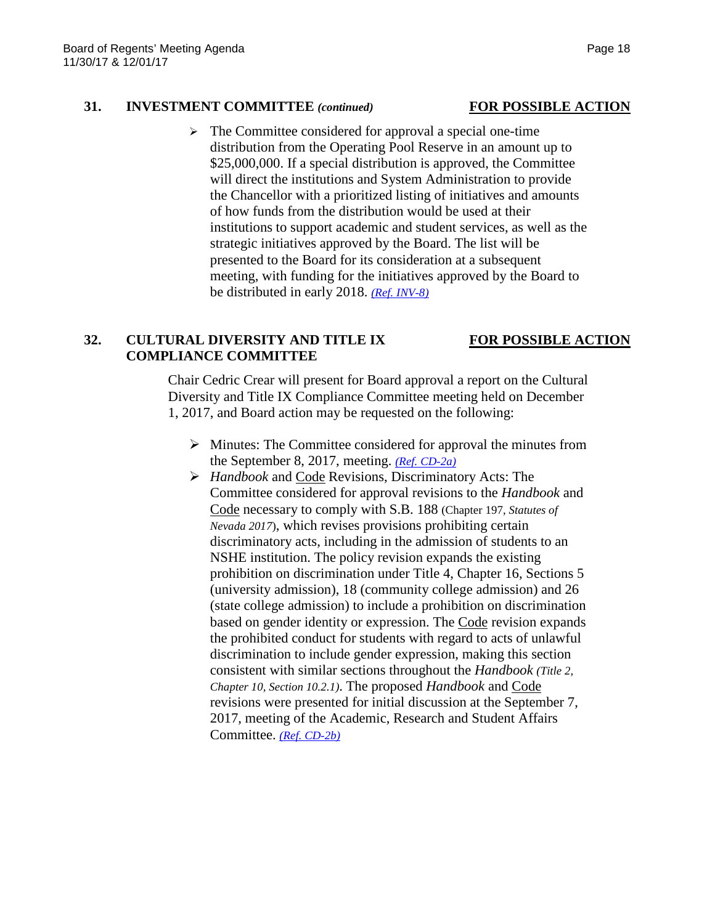### **31. INVESTMENT COMMITTEE** *(continued)* **FOR POSSIBLE ACTION**

 $\triangleright$  The Committee considered for approval a special one-time distribution from the Operating Pool Reserve in an amount up to \$25,000,000. If a special distribution is approved, the Committee will direct the institutions and System Administration to provide the Chancellor with a prioritized listing of initiatives and amounts of how funds from the distribution would be used at their institutions to support academic and student services, as well as the strategic initiatives approved by the Board. The list will be presented to the Board for its consideration at a subsequent meeting, with funding for the initiatives approved by the Board to be distributed in early 2018. *[\(Ref. INV-8\)](https://nshe.nevada.edu/wp-content/uploads/file/BoardOfRegents/Agendas/2017/nov-mtgs/inv-ref/INV-8.pdf)*

### **32. CULTURAL DIVERSITY AND TITLE IX FOR POSSIBLE ACTION COMPLIANCE COMMITTEE**

Chair Cedric Crear will present for Board approval a report on the Cultural Diversity and Title IX Compliance Committee meeting held on December 1, 2017, and Board action may be requested on the following:

- $\triangleright$  Minutes: The Committee considered for approval the minutes from the September 8, 2017, meeting. *[\(Ref. CD-2a\)](https://nshe.nevada.edu/wp-content/uploads/file/BoardOfRegents/Agendas/2017/nov-mtgs/cd-ref/CD-2a.pdf)*
- *Handbook* and Code Revisions, Discriminatory Acts: The Committee considered for approval revisions to the *Handbook* and Code necessary to comply with S.B. 188 (Chapter 197, *Statutes of Nevada 2017*), which revises provisions prohibiting certain discriminatory acts, including in the admission of students to an NSHE institution. The policy revision expands the existing prohibition on discrimination under Title 4, Chapter 16, Sections 5 (university admission), 18 (community college admission) and 26 (state college admission) to include a prohibition on discrimination based on gender identity or expression. The Code revision expands the prohibited conduct for students with regard to acts of unlawful discrimination to include gender expression, making this section consistent with similar sections throughout the *Handbook (Title 2, Chapter 10, Section 10.2.1)*. The proposed *Handbook* and Code revisions were presented for initial discussion at the September 7, 2017, meeting of the Academic, Research and Student Affairs Committee. *[\(Ref. CD-2b\)](https://nshe.nevada.edu/wp-content/uploads/file/BoardOfRegents/Agendas/2017/nov-mtgs/cd-ref/CD-2b.pdf)*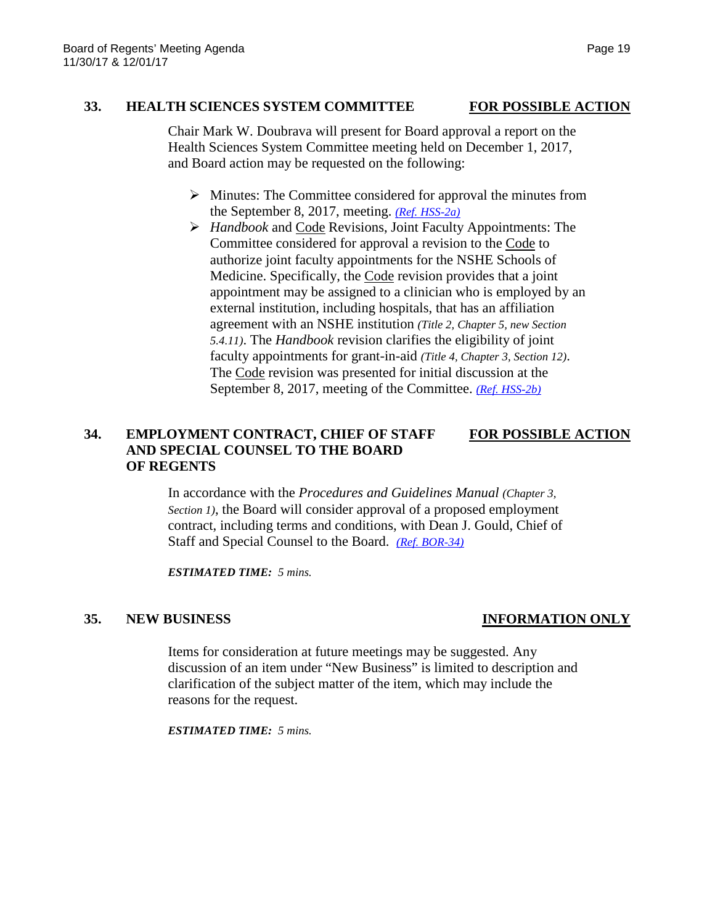# **33. HEALTH SCIENCES SYSTEM COMMITTEE FOR POSSIBLE ACTION**

Chair Mark W. Doubrava will present for Board approval a report on the Health Sciences System Committee meeting held on December 1, 2017, and Board action may be requested on the following:

- $\triangleright$  Minutes: The Committee considered for approval the minutes from the September 8, 2017, meeting. *[\(Ref. HSS-2a\)](https://nshe.nevada.edu/wp-content/uploads/file/BoardOfRegents/Agendas/2017/nov-mtgs/hss-ref/HSS-2a.pdf)*
- *Handbook* and Code Revisions, Joint Faculty Appointments: The Committee considered for approval a revision to the Code to authorize joint faculty appointments for the NSHE Schools of Medicine. Specifically, the Code revision provides that a joint appointment may be assigned to a clinician who is employed by an external institution, including hospitals, that has an affiliation agreement with an NSHE institution *(Title 2, Chapter 5, new Section 5.4.11)*. The *Handbook* revision clarifies the eligibility of joint faculty appointments for grant-in-aid *(Title 4, Chapter 3, Section 12)*. The Code revision was presented for initial discussion at the September 8, 2017, meeting of the Committee. *[\(Ref. HSS-2b\)](https://nshe.nevada.edu/wp-content/uploads/file/BoardOfRegents/Agendas/2017/nov-mtgs/hss-ref/HSS-2b.pdf)*

### **34. EMPLOYMENT CONTRACT, CHIEF OF STAFF FOR POSSIBLE ACTION AND SPECIAL COUNSEL TO THE BOARD OF REGENTS**

In accordance with the *Procedures and Guidelines Manual (Chapter 3, Section 1)*, the Board will consider approval of a proposed employment contract, including terms and conditions, with Dean J. Gould, Chief of Staff and Special Counsel to the Board. *[\(Ref. BOR-34\)](https://nshe.nevada.edu/wp-content/uploads/file/BoardOfRegents/Agendas/2017/nov-mtgs/bor-ref/BOR-34.pdf)*

*ESTIMATED TIME: 5 mins.*

## **35. NEW BUSINESS INFORMATION ONLY**

Items for consideration at future meetings may be suggested. Any discussion of an item under "New Business" is limited to description and clarification of the subject matter of the item, which may include the reasons for the request.

*ESTIMATED TIME: 5 mins.*